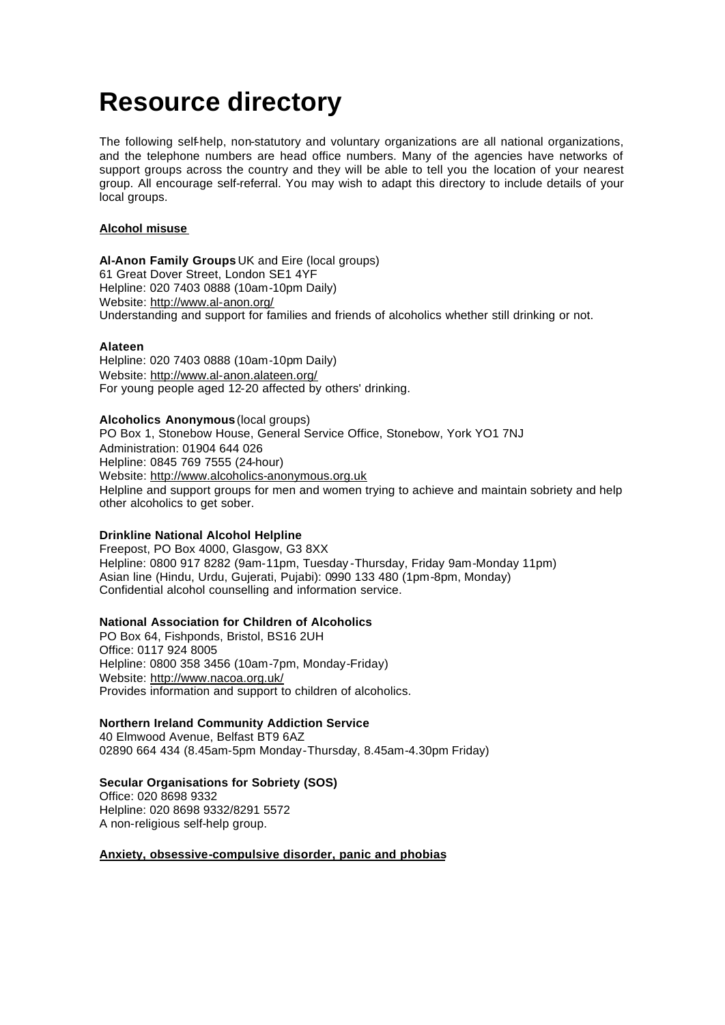# **Resource directory**

The following self-help, non-statutory and voluntary organizations are all national organizations, and the telephone numbers are head office numbers. Many of the agencies have networks of support groups across the country and they will be able to tell you the location of your nearest group. All encourage self-referral. You may wish to adapt this directory to include details of your local groups.

## **Alcohol misuse**

**Al-Anon Family Groups** UK and Eire (local groups) 61 Great Dover Street, London SE1 4YF Helpline: 020 7403 0888 (10am-10pm Daily) Website: http://www.al-anon.org/ Understanding and support for families and friends of alcoholics whether still drinking or not.

## **Alateen**

Helpline: 020 7403 0888 (10am-10pm Daily) Website: http://www.al-anon.alateen.org/ For young people aged 12-20 affected by others' drinking.

#### **Alcoholics Anonymous** (local groups)

PO Box 1, Stonebow House, General Service Office, Stonebow, York YO1 7NJ Administration: 01904 644 026 Helpline: 0845 769 7555 (24-hour) Website: http://www.alcoholics-anonymous.org.uk Helpline and support groups for men and women trying to achieve and maintain sobriety and help other alcoholics to get sober.

## **Drinkline National Alcohol Helpline**

Freepost, PO Box 4000, Glasgow, G3 8XX Helpline: 0800 917 8282 (9am-11pm, Tuesday -Thursday, Friday 9am-Monday 11pm) Asian line (Hindu, Urdu, Gujerati, Pujabi): 0990 133 480 (1pm-8pm, Monday) Confidential alcohol counselling and information service.

## **National Association for Children of Alcoholics**

PO Box 64, Fishponds, Bristol, BS16 2UH Office: 0117 924 8005 Helpline: 0800 358 3456 (10am-7pm, Monday-Friday) Website: http://www.nacoa.org.uk/ Provides information and support to children of alcoholics.

## **Northern Ireland Community Addiction Service**

40 Elmwood Avenue, Belfast BT9 6AZ 02890 664 434 (8.45am-5pm Monday-Thursday, 8.45am-4.30pm Friday)

## **Secular Organisations for Sobriety (SOS)**

Office: 020 8698 9332 Helpline: 020 8698 9332/8291 5572 A non-religious self-help group.

## **Anxiety, obsessive-compulsive disorder, panic and phobias**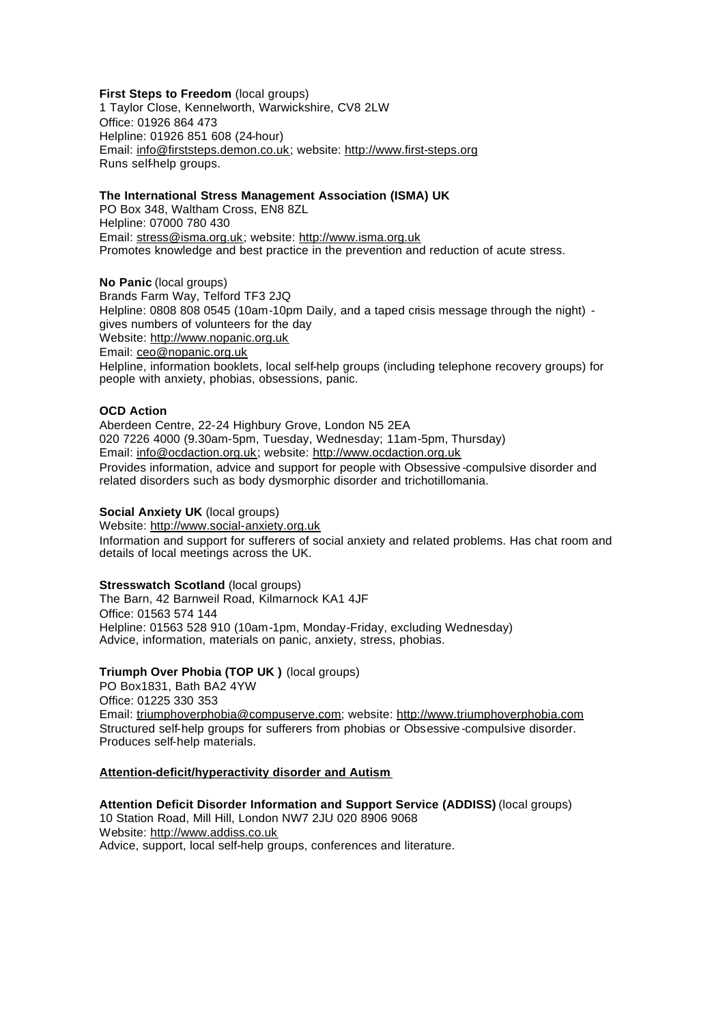#### **First Steps to Freedom** (local groups) 1 Taylor Close, Kennelworth, Warwickshire, CV8 2LW Office: 01926 864 473 Helpline: 01926 851 608 (24-hour) Email: info@firststeps.demon.co.uk; website: http://www.first-steps.org Runs self-help groups.

## **The International Stress Management Association (ISMA) UK**

PO Box 348, Waltham Cross, EN8 8ZL Helpline: 07000 780 430 Email: stress@isma.org.uk; website: http://www.isma.org.uk Promotes knowledge and best practice in the prevention and reduction of acute stress.

**No Panic** (local groups) Brands Farm Way, Telford TF3 2JQ Helpline: 0808 808 0545 (10am-10pm Daily, and a taped crisis message through the night) gives numbers of volunteers for the day Website: http://www.nopanic.org.uk Email: ceo@nopanic.org.uk Helpline, information booklets, local self-help groups (including telephone recovery groups) for people with anxiety, phobias, obsessions, panic.

## **OCD Action**

Aberdeen Centre, 22-24 Highbury Grove, London N5 2EA 020 7226 4000 (9.30am-5pm, Tuesday, Wednesday; 11am-5pm, Thursday) Email: info@ocdaction.org.uk; website: http://www.ocdaction.org.uk Provides information, advice and support for people with Obsessive -compulsive disorder and related disorders such as body dysmorphic disorder and trichotillomania.

#### **Social Anxiety UK** (local groups)

Website: http://www.social-anxiety.org.uk Information and support for sufferers of social anxiety and related problems. Has chat room and details of local meetings across the UK.

## **Stresswatch Scotland** (local groups)

The Barn, 42 Barnweil Road, Kilmarnock KA1 4JF Office: 01563 574 144 Helpline: 01563 528 910 (10am-1pm, Monday-Friday, excluding Wednesday) Advice, information, materials on panic, anxiety, stress, phobias.

## **Triumph Over Phobia (TOP UK )** (local groups)

PO Box1831, Bath BA2 4YW Office: 01225 330 353 Email: triumphoverphobia@compuserve.com; website: http://www.triumphoverphobia.com Structured self-help groups for sufferers from phobias or Obsessive -compulsive disorder. Produces self-help materials.

#### **Attention-deficit/hyperactivity disorder and Autism**

**Attention Deficit Disorder Information and Support Service (ADDISS)** (local groups) 10 Station Road, Mill Hill, London NW7 2JU 020 8906 9068 Website: http://www.addiss.co.uk Advice, support, local self-help groups, conferences and literature.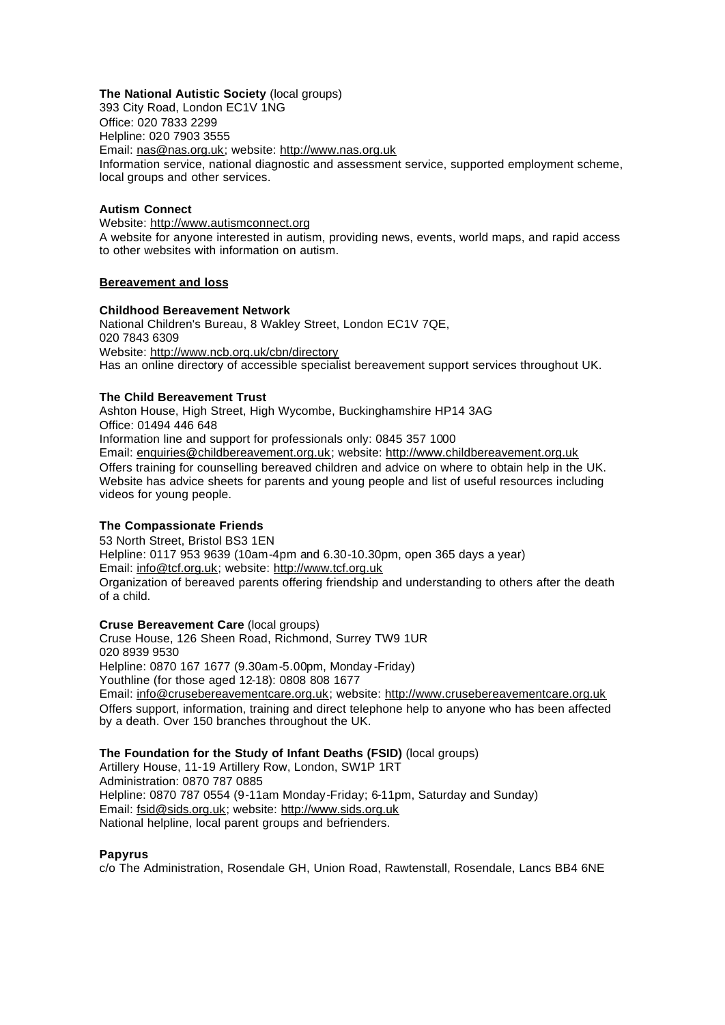## **The National Autistic Society** (local groups)

393 City Road, London EC1V 1NG Office: 020 7833 2299 Helpline: 020 7903 3555 Email: nas@nas.org.uk; website: http://www.nas.org.uk Information service, national diagnostic and assessment service, supported employment scheme, local groups and other services.

## **Autism Connect**

Website: http://www.autismconnect.org A website for anyone interested in autism, providing news, events, world maps, and rapid access to other websites with information on autism.

#### **Bereavement and loss**

#### **Childhood Bereavement Network**

National Children's Bureau, 8 Wakley Street, London EC1V 7QE, 020 7843 6309 Website: http://www.ncb.org.uk/cbn/directory Has an online directory of accessible specialist bereavement support services throughout UK.

## **The Child Bereavement Trust**

Ashton House, High Street, High Wycombe, Buckinghamshire HP14 3AG Office: 01494 446 648 Information line and support for professionals only: 0845 357 1000 Email: enquiries@childbereavement.org.uk; website: http://www.childbereavement.org.uk Offers training for counselling bereaved children and advice on where to obtain help in the UK. Website has advice sheets for parents and young people and list of useful resources including videos for young people.

## **The Compassionate Friends**

53 North Street, Bristol BS3 1EN Helpline: 0117 953 9639 (10am-4pm and 6.30-10.30pm, open 365 days a year) Email: info@tcf.org.uk; website: http://www.tcf.org.uk Organization of bereaved parents offering friendship and understanding to others after the death of a child.

**Cruse Bereavement Care** (local groups) Cruse House, 126 Sheen Road, Richmond, Surrey TW9 1UR 020 8939 9530 Helpline: 0870 167 1677 (9.30am-5.00pm, Monday -Friday) Youthline (for those aged 12-18): 0808 808 1677

Email: info@crusebereavementcare.org.uk; website: http://www.crusebereavementcare.org.uk Offers support, information, training and direct telephone help to anyone who has been affected by a death. Over 150 branches throughout the UK.

## **The Foundation for the Study of Infant Deaths (FSID)** (local groups)

Artillery House, 11-19 Artillery Row, London, SW1P 1RT Administration: 0870 787 0885 Helpline: 0870 787 0554 (9-11am Monday-Friday; 6-11pm, Saturday and Sunday) Email: fsid@sids.org.uk; website: http://www.sids.org.uk National helpline, local parent groups and befrienders.

#### **Papyrus**

c/o The Administration, Rosendale GH, Union Road, Rawtenstall, Rosendale, Lancs BB4 6NE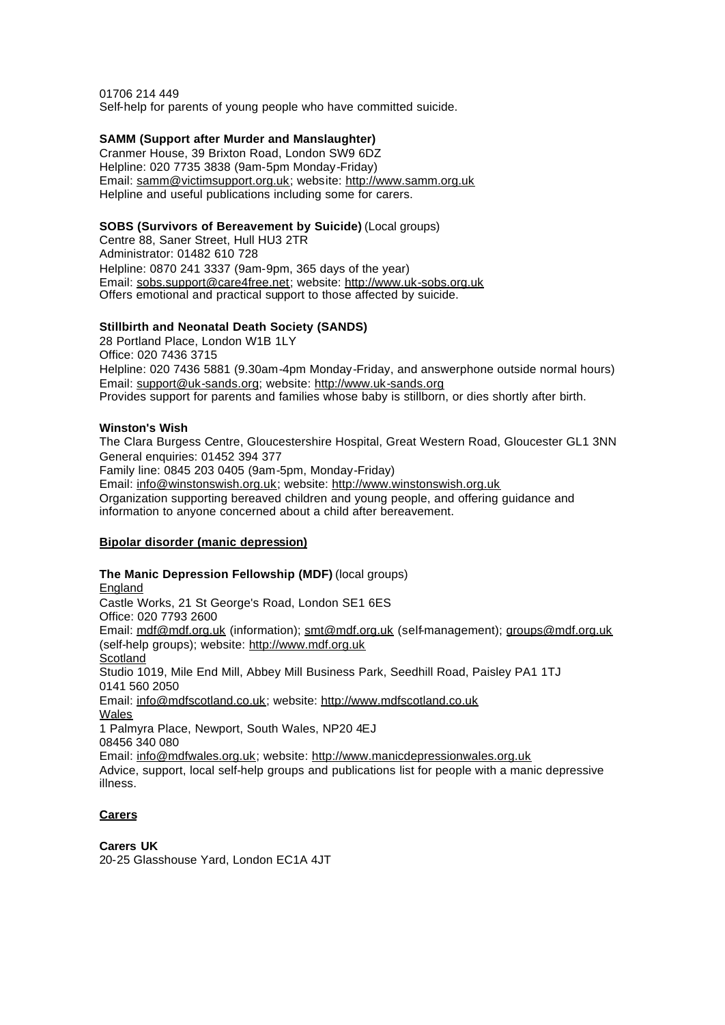01706 214 449 Self-help for parents of young people who have committed suicide.

## **SAMM (Support after Murder and Manslaughter)**

Cranmer House, 39 Brixton Road, London SW9 6DZ Helpline: 020 7735 3838 (9am-5pm Monday-Friday) Email: samm@victimsupport.org.uk; website: http://www.samm.org.uk Helpline and useful publications including some for carers.

## **SOBS (Survivors of Bereavement by Suicide)** (Local groups)

Centre 88, Saner Street, Hull HU3 2TR Administrator: 01482 610 728 Helpline: 0870 241 3337 (9am-9pm, 365 days of the year) Email: sobs.support@care4free.net; website: http://www.uk-sobs.org.uk Offers emotional and practical support to those affected by suicide.

## **Stillbirth and Neonatal Death Society (SANDS)**

28 Portland Place, London W1B 1LY Office: 020 7436 3715 Helpline: 020 7436 5881 (9.30am-4pm Monday-Friday, and answerphone outside normal hours) Email: support@uk-sands.org; website: http://www.uk-sands.org Provides support for parents and families whose baby is stillborn, or dies shortly after birth.

## **Winston's Wish**

The Clara Burgess Centre, Gloucestershire Hospital, Great Western Road, Gloucester GL1 3NN General enquiries: 01452 394 377 Family line: 0845 203 0405 (9am-5pm, Monday-Friday) Email: info@winstonswish.org.uk; website: http://www.winstonswish.org.uk Organization supporting bereaved children and young people, and offering guidance and information to anyone concerned about a child after bereavement.

# **Bipolar disorder (manic depression)**

**The Manic Depression Fellowship (MDF)** (local groups) England Castle Works, 21 St George's Road, London SE1 6ES Office: 020 7793 2600 Email: mdf@mdf.org.uk (information); smt@mdf.org.uk (self-management); groups@mdf.org.uk (self-help groups); website: http://www.mdf.org.uk **Scotland** Studio 1019, Mile End Mill, Abbey Mill Business Park, Seedhill Road, Paisley PA1 1TJ 0141 560 2050 Email: info@mdfscotland.co.uk; website: http://www.mdfscotland.co.uk Wales 1 Palmyra Place, Newport, South Wales, NP20 4EJ 08456 340 080 Email: info@mdfwales.org.uk; website: http://www.manicdepressionwales.org.uk Advice, support, local self-help groups and publications list for people with a manic depressive illness.

# **Carers**

**Carers UK** 20-25 Glasshouse Yard, London EC1A 4JT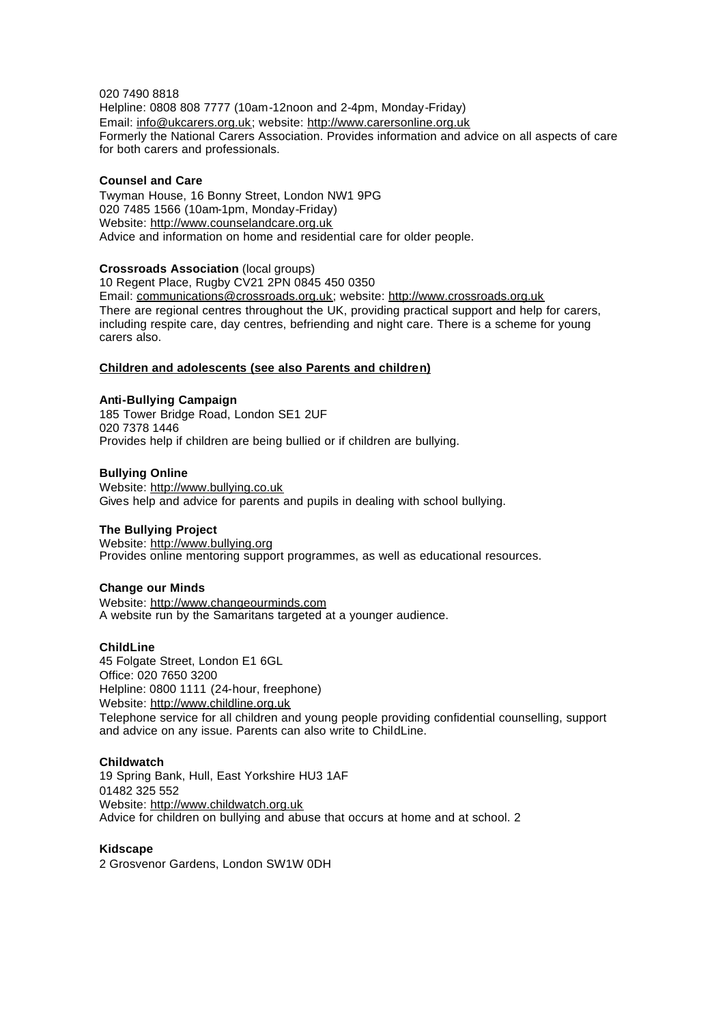## 020 7490 8818

Helpline: 0808 808 7777 (10am-12noon and 2-4pm, Monday-Friday) Email: info@ukcarers.org.uk; website: http://www.carersonline.org.uk Formerly the National Carers Association. Provides information and advice on all aspects of care for both carers and professionals.

#### **Counsel and Care**

Twyman House, 16 Bonny Street, London NW1 9PG 020 7485 1566 (10am-1pm, Monday-Friday) Website: http://www.counselandcare.org.uk Advice and information on home and residential care for older people.

## **Crossroads Association** (local groups)

10 Regent Place, Rugby CV21 2PN 0845 450 0350 Email: communications@crossroads.org.uk; website: http://www.crossroads.org.uk There are regional centres throughout the UK, providing practical support and help for carers, including respite care, day centres, befriending and night care. There is a scheme for young carers also.

## **Children and adolescents (see also Parents and children)**

#### **Anti-Bullying Campaign**

185 Tower Bridge Road, London SE1 2UF 020 7378 1446 Provides help if children are being bullied or if children are bullying.

#### **Bullying Online**

Website: http://www.bullying.co.uk Gives help and advice for parents and pupils in dealing with school bullying.

#### **The Bullying Project**

Website: http://www.bullying.org Provides online mentoring support programmes, as well as educational resources.

#### **Change our Minds**

Website: http://www.changeourminds.com A website run by the Samaritans targeted at a younger audience.

#### **ChildLine**

45 Folgate Street, London E1 6GL Office: 020 7650 3200 Helpline: 0800 1111 (24-hour, freephone) Website: http://www.childline.org.uk Telephone service for all children and young people providing confidential counselling, support and advice on any issue. Parents can also write to ChildLine.

#### **Childwatch**

19 Spring Bank, Hull, East Yorkshire HU3 1AF 01482 325 552 Website: http://www.childwatch.org.uk Advice for children on bullying and abuse that occurs at home and at school. 2

#### **Kidscape**

2 Grosvenor Gardens, London SW1W 0DH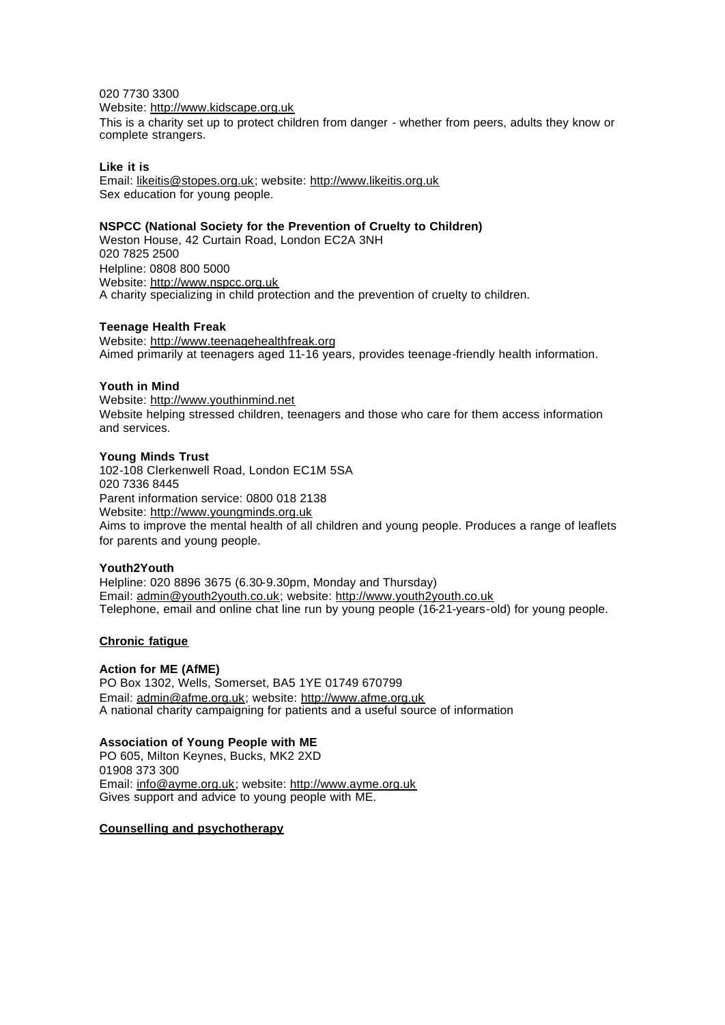## 020 7730 3300

#### Website: http://www.kidscape.org.uk

This is a charity set up to protect children from danger - whether from peers, adults they know or complete strangers.

#### **Like it is**

Email: likeitis@stopes.org.uk; website: http://www.likeitis.org.uk Sex education for young people.

#### **NSPCC (National Society for the Prevention of Cruelty to Children)**

Weston House, 42 Curtain Road, London EC2A 3NH 020 7825 2500 Helpline: 0808 800 5000 Website: http://www.nspcc.org.uk A charity specializing in child protection and the prevention of cruelty to children.

#### **Teenage Health Freak**

Website: http://www.teenagehealthfreak.org Aimed primarily at teenagers aged 11-16 years, provides teenage-friendly health information.

#### **Youth in Mind**

Website: http://www.youthinmind.net Website helping stressed children, teenagers and those who care for them access information and services.

#### **Young Minds Trust**

102-108 Clerkenwell Road, London EC1M 5SA 020 7336 8445 Parent information service: 0800 018 2138 Website: http://www.youngminds.org.uk

Aims to improve the mental health of all children and young people. Produces a range of leaflets for parents and young people.

## **Youth2Youth**

Helpline: 020 8896 3675 (6.30-9.30pm, Monday and Thursday) Email: admin@youth2youth.co.uk; website: http://www.youth2youth.co.uk Telephone, email and online chat line run by young people (16-21-years-old) for young people.

#### **Chronic fatigue**

#### **Action for ME (AfME)**

PO Box 1302, Wells, Somerset, BA5 1YE 01749 670799 Email: admin@afme.org.uk; website: http://www.afme.org.uk A national charity campaigning for patients and a useful source of information

## **Association of Young People with ME**

PO 605, Milton Keynes, Bucks, MK2 2XD 01908 373 300 Email: info@ayme.org.uk; website: http://www.ayme.org.uk Gives support and advice to young people with ME.

#### **Counselling and psychotherapy**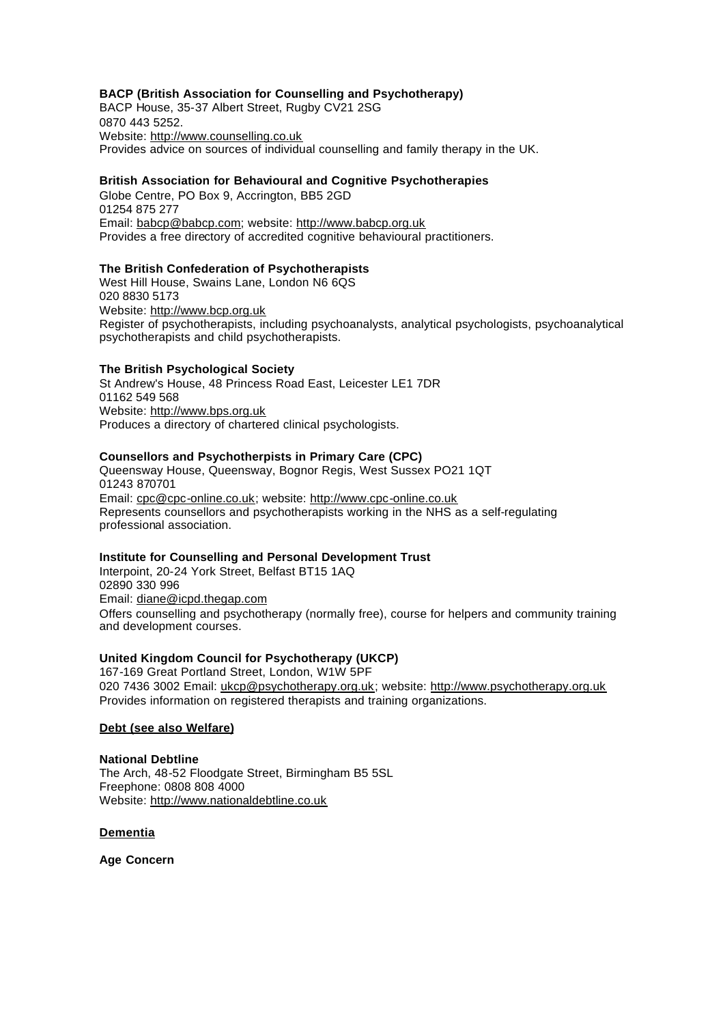# **BACP (British Association for Counselling and Psychotherapy)**

BACP House, 35-37 Albert Street, Rugby CV21 2SG 0870 443 5252. Website: http://www.counselling.co.uk Provides advice on sources of individual counselling and family therapy in the UK.

## **British Association for Behavioural and Cognitive Psychotherapies**

Globe Centre, PO Box 9, Accrington, BB5 2GD 01254 875 277 Email: babcp@babcp.com; website: http://www.babcp.org.uk Provides a free directory of accredited cognitive behavioural practitioners.

## **The British Confederation of Psychotherapists**

West Hill House, Swains Lane, London N6 6QS 020 8830 5173 Website: http://www.bcp.org.uk Register of psychotherapists, including psychoanalysts, analytical psychologists, psychoanalytical psychotherapists and child psychotherapists.

#### **The British Psychological Society**

St Andrew's House, 48 Princess Road East, Leicester LE1 7DR 01162 549 568 Website: http://www.bps.org.uk Produces a directory of chartered clinical psychologists.

#### **Counsellors and Psychotherpists in Primary Care (CPC)**

Queensway House, Queensway, Bognor Regis, West Sussex PO21 1QT 01243 870701 Email: cpc@cpc-online.co.uk; website: http://www.cpc-online.co.uk Represents counsellors and psychotherapists working in the NHS as a self-regulating professional association.

## **Institute for Counselling and Personal Development Trust**

Interpoint, 20-24 York Street, Belfast BT15 1AQ 02890 330 996 Email: diane@icpd.thegap.com Offers counselling and psychotherapy (normally free), course for helpers and community training and development courses.

#### **United Kingdom Council for Psychotherapy (UKCP)**

167-169 Great Portland Street, London, W1W 5PF 020 7436 3002 Email: ukcp@psychotherapy.org.uk; website: http://www.psychotherapy.org.uk Provides information on registered therapists and training organizations.

#### **Debt (see also Welfare)**

#### **National Debtline**

The Arch, 48-52 Floodgate Street, Birmingham B5 5SL Freephone: 0808 808 4000 Website: http://www.nationaldebtline.co.uk

#### **Dementia**

**Age Concern**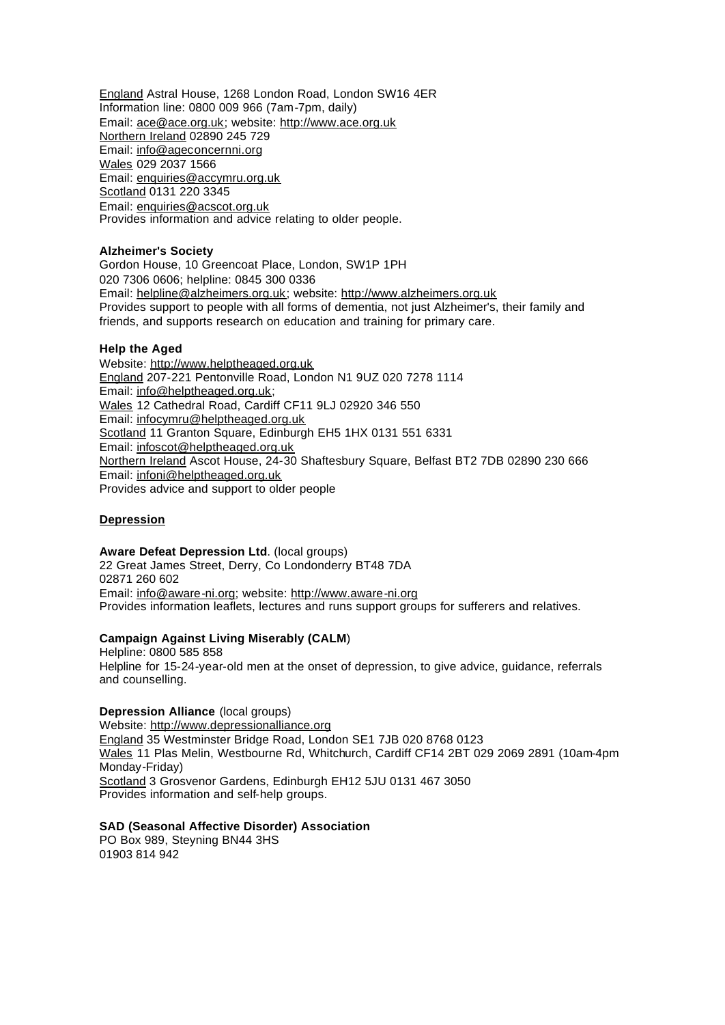England Astral House, 1268 London Road, London SW16 4ER Information line: 0800 009 966 (7am-7pm, daily) Email: ace@ace.org.uk; website: http://www.ace.org.uk Northern Ireland 02890 245 729 Email: info@ageconcernni.org Wales 029 2037 1566 Email: enquiries@accymru.org.uk Scotland 0131 220 3345 Email: enquiries@acscot.org.uk Provides information and advice relating to older people.

## **Alzheimer's Society**

Gordon House, 10 Greencoat Place, London, SW1P 1PH 020 7306 0606; helpline: 0845 300 0336 Email: helpline@alzheimers.org.uk; website: http://www.alzheimers.org.uk Provides support to people with all forms of dementia, not just Alzheimer's, their family and friends, and supports research on education and training for primary care.

#### **Help the Aged**

Website: http://www.helptheaged.org.uk England 207-221 Pentonville Road, London N1 9UZ 020 7278 1114 Email: info@helptheaged.org.uk; Wales 12 Cathedral Road, Cardiff CF11 9LJ 02920 346 550 Email: infocymru@helptheaged.org.uk Scotland 11 Granton Square, Edinburgh EH5 1HX 0131 551 6331 Email: infoscot@helptheaged.org.uk Northern Ireland Ascot House, 24-30 Shaftesbury Square, Belfast BT2 7DB 02890 230 666 Email: infoni@helptheaged.org.uk Provides advice and support to older people

#### **Depression**

**Aware Defeat Depression Ltd**. (local groups) 22 Great James Street, Derry, Co Londonderry BT48 7DA 02871 260 602 Email: info@aware-ni.org; website: http://www.aware-ni.org Provides information leaflets, lectures and runs support groups for sufferers and relatives.

## **Campaign Against Living Miserably (CALM**)

Helpline: 0800 585 858 Helpline for 15-24-year-old men at the onset of depression, to give advice, guidance, referrals and counselling.

## **Depression Alliance** (local groups)

Website: http://www.depressionalliance.org England 35 Westminster Bridge Road, London SE1 7JB 020 8768 0123 Wales 11 Plas Melin, Westbourne Rd, Whitchurch, Cardiff CF14 2BT 029 2069 2891 (10am-4pm Monday-Friday) Scotland 3 Grosvenor Gardens, Edinburgh EH12 5JU 0131 467 3050 Provides information and self-help groups.

#### **SAD (Seasonal Affective Disorder) Association**

PO Box 989, Steyning BN44 3HS 01903 814 942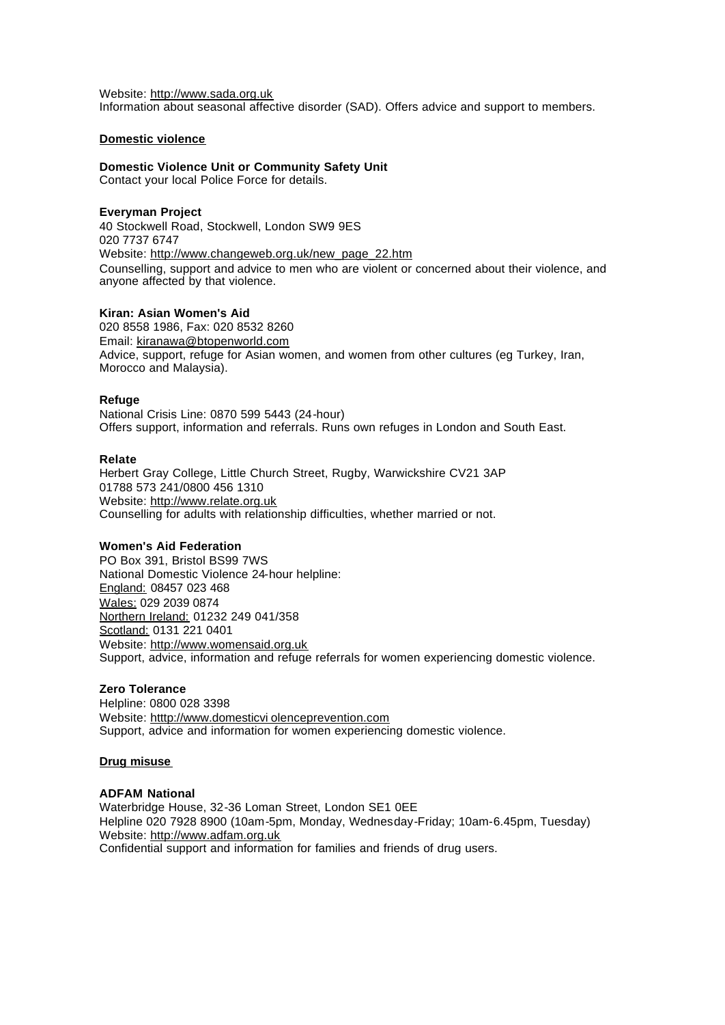Website: http://www.sada.org.uk Information about seasonal affective disorder (SAD). Offers advice and support to members.

#### **Domestic violence**

**Domestic Violence Unit or Community Safety Unit** Contact your local Police Force for details.

## **Everyman Project**

40 Stockwell Road, Stockwell, London SW9 9ES 020 7737 6747 Website: http://www.changeweb.org.uk/new\_page\_22.htm Counselling, support and advice to men who are violent or concerned about their violence, and anyone affected by that violence.

## **Kiran: Asian Women's Aid**

020 8558 1986, Fax: 020 8532 8260 Email: kiranawa@btopenworld.com Advice, support, refuge for Asian women, and women from other cultures (eg Turkey, Iran, Morocco and Malaysia).

#### **Refuge**

National Crisis Line: 0870 599 5443 (24-hour) Offers support, information and referrals. Runs own refuges in London and South East.

#### **Relate**

Herbert Gray College, Little Church Street, Rugby, Warwickshire CV21 3AP 01788 573 241/0800 456 1310 Website: http://www.relate.org.uk Counselling for adults with relationship difficulties, whether married or not.

#### **Women's Aid Federation**

PO Box 391, Bristol BS99 7WS National Domestic Violence 24-hour helpline: England: 08457 023 468 Wales: 029 2039 0874 Northern Ireland: 01232 249 041/358 Scotland: 0131 221 0401 Website: http://www.womensaid.org.uk Support, advice, information and refuge referrals for women experiencing domestic violence.

## **Zero Tolerance**

Helpline: 0800 028 3398 Website: htttp://www.domesticvi olenceprevention.com Support, advice and information for women experiencing domestic violence.

## **Drug misuse**

## **ADFAM National**

Waterbridge House, 32-36 Loman Street, London SE1 0EE Helpline 020 7928 8900 (10am-5pm, Monday, Wednesday-Friday; 10am-6.45pm, Tuesday) Website: http://www.adfam.org.uk Confidential support and information for families and friends of drug users.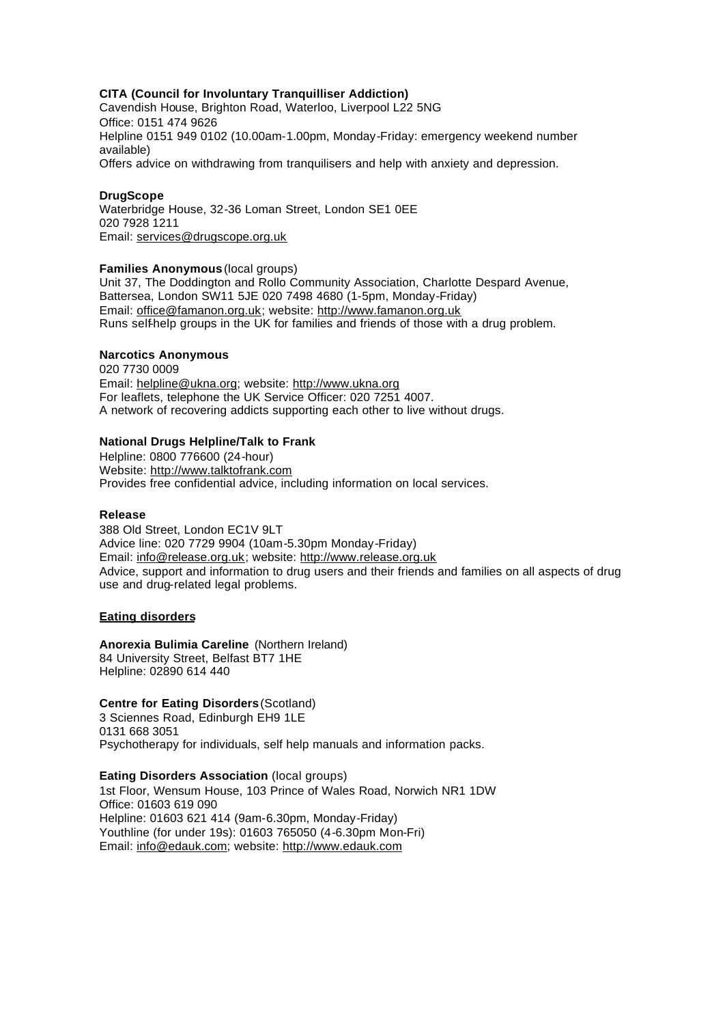## **CITA (Council for Involuntary Tranquilliser Addiction)**

Cavendish House, Brighton Road, Waterloo, Liverpool L22 5NG Office: 0151 474 9626 Helpline 0151 949 0102 (10.00am-1.00pm, Monday-Friday: emergency weekend number available) Offers advice on withdrawing from tranquilisers and help with anxiety and depression.

#### **DrugScope**

Waterbridge House, 32-36 Loman Street, London SE1 0EE 020 7928 1211 Email: services@drugscope.org.uk

#### **Families Anonymous** (local groups)

Unit 37, The Doddington and Rollo Community Association, Charlotte Despard Avenue, Battersea, London SW11 5JE 020 7498 4680 (1-5pm, Monday-Friday) Email: office@famanon.org.uk; website: http://www.famanon.org.uk Runs self-help groups in the UK for families and friends of those with a drug problem.

## **Narcotics Anonymous**

020 7730 0009 Email: helpline@ukna.org; website: http://www.ukna.org For leaflets, telephone the UK Service Officer: 020 7251 4007. A network of recovering addicts supporting each other to live without drugs.

## **National Drugs Helpline/Talk to Frank**

Helpline: 0800 776600 (24-hour) Website: http://www.talktofrank.com Provides free confidential advice, including information on local services.

#### **Release**

388 Old Street, London EC1V 9LT Advice line: 020 7729 9904 (10am-5.30pm Monday-Friday) Email: info@release.org.uk; website: http://www.release.org.uk Advice, support and information to drug users and their friends and families on all aspects of drug use and drug-related legal problems.

#### **Eating disorders**

**Anorexia Bulimia Careline** (Northern Ireland) 84 University Street, Belfast BT7 1HE Helpline: 02890 614 440

## **Centre for Eating Disorders** (Scotland)

3 Sciennes Road, Edinburgh EH9 1LE 0131 668 3051 Psychotherapy for individuals, self help manuals and information packs.

**Eating Disorders Association** (local groups) 1st Floor, Wensum House, 103 Prince of Wales Road, Norwich NR1 1DW Office: 01603 619 090 Helpline: 01603 621 414 (9am-6.30pm, Monday-Friday) Youthline (for under 19s): 01603 765050 (4-6.30pm Mon-Fri) Email: info@edauk.com; website: http://www.edauk.com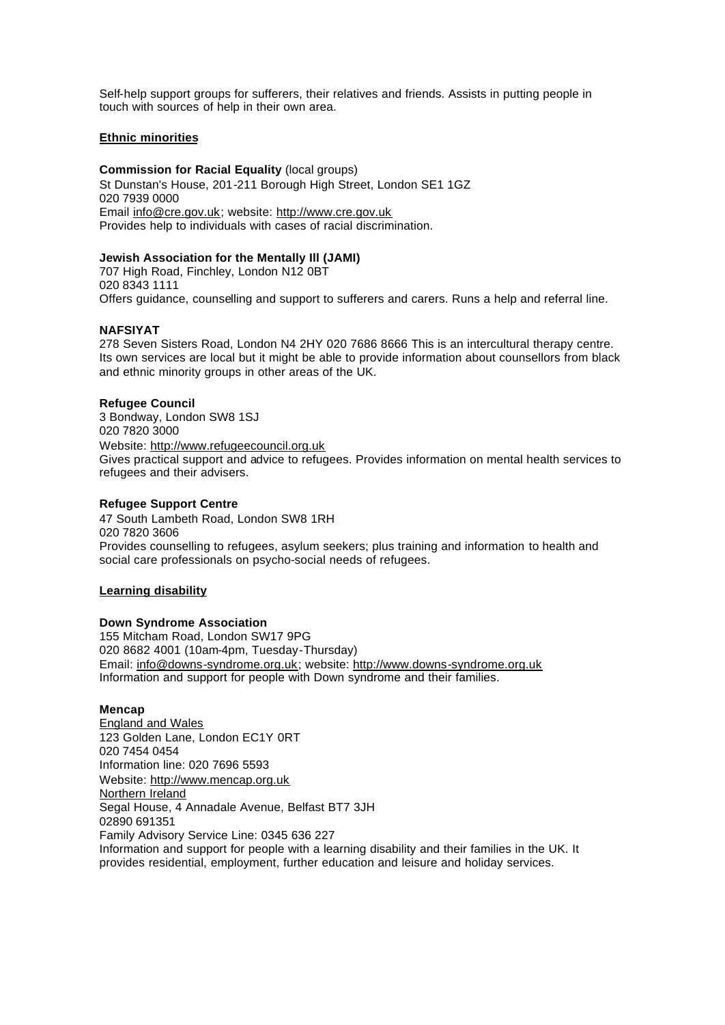Self-help support groups for sufferers, their relatives and friends. Assists in putting people in touch with sources of help in their own area.

## **Ethnic minorities**

**Commission for Racial Equality** (local groups) St Dunstan's House, 201-211 Borough High Street, London SE1 1GZ 020 7939 0000 Email info@cre.gov.uk; website: http://www.cre.gov.uk Provides help to individuals with cases of racial discrimination.

## **Jewish Association for the Mentally Ill (JAMI)**

707 High Road, Finchley, London N12 0BT 020 8343 1111 Offers guidance, counselling and support to sufferers and carers. Runs a help and referral line.

## **NAFSIYAT**

278 Seven Sisters Road, London N4 2HY 020 7686 8666 This is an intercultural therapy centre. Its own services are local but it might be able to provide information about counsellors from black and ethnic minority groups in other areas of the UK.

## **Refugee Council**

3 Bondway, London SW8 1SJ 020 7820 3000 Website: http://www.refugeecouncil.org.uk Gives practical support and advice to refugees. Provides information on mental health services to refugees and their advisers.

## **Refugee Support Centre**

47 South Lambeth Road, London SW8 1RH 020 7820 3606 Provides counselling to refugees, asylum seekers; plus training and information to health and social care professionals on psycho-social needs of refugees.

## **Learning disability**

## **Down Syndrome Association**

155 Mitcham Road, London SW17 9PG 020 8682 4001 (10am-4pm, Tuesday-Thursday) Email: info@downs-syndrome.org.uk; website: http://www.downs-syndrome.org.uk Information and support for people with Down syndrome and their families.

#### **Mencap**

England and Wales 123 Golden Lane, London EC1Y 0RT 020 7454 0454 Information line: 020 7696 5593 Website: http://www.mencap.org.uk Northern Ireland Segal House, 4 Annadale Avenue, Belfast BT7 3JH 02890 691351 Family Advisory Service Line: 0345 636 227 Information and support for people with a learning disability and their families in the UK. It provides residential, employment, further education and leisure and holiday services.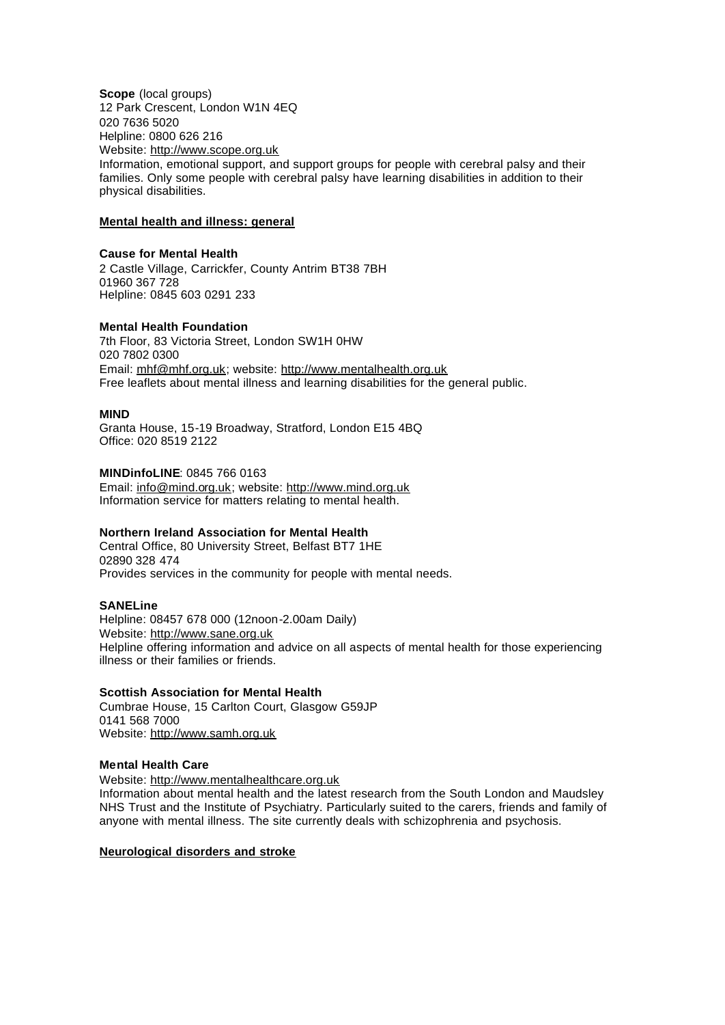**Scope** (local groups) 12 Park Crescent, London W1N 4EQ 020 7636 5020 Helpline: 0800 626 216 Website: http://www.scope.org.uk Information, emotional support, and support groups for people with cerebral palsy and their families. Only some people with cerebral palsy have learning disabilities in addition to their physical disabilities.

#### **Mental health and illness: general**

#### **Cause for Mental Health**

2 Castle Village, Carrickfer, County Antrim BT38 7BH 01960 367 728 Helpline: 0845 603 0291 233

#### **Mental Health Foundation**

7th Floor, 83 Victoria Street, London SW1H 0HW 020 7802 0300 Email: mhf@mhf.org.uk; website: http://www.mentalhealth.org.uk Free leaflets about mental illness and learning disabilities for the general public.

#### **MIND**

Granta House, 15-19 Broadway, Stratford, London E15 4BQ Office: 020 8519 2122

## **MINDinfoLINE**: 0845 766 0163

Email: info@mind.org.uk; website: http://www.mind.org.uk Information service for matters relating to mental health.

#### **Northern Ireland Association for Mental Health**

Central Office, 80 University Street, Belfast BT7 1HE 02890 328 474 Provides services in the community for people with mental needs.

#### **SANELine**

Helpline: 08457 678 000 (12noon-2.00am Daily) Website: http://www.sane.org.uk Helpline offering information and advice on all aspects of mental health for those experiencing illness or their families or friends.

# **Scottish Association for Mental Health**

Cumbrae House, 15 Carlton Court, Glasgow G59JP 0141 568 7000 Website: http://www.samh.org.uk

#### **Mental Health Care**

Website: http://www.mentalhealthcare.org.uk

Information about mental health and the latest research from the South London and Maudsley NHS Trust and the Institute of Psychiatry. Particularly suited to the carers, friends and family of anyone with mental illness. The site currently deals with schizophrenia and psychosis.

## **Neurological disorders and stroke**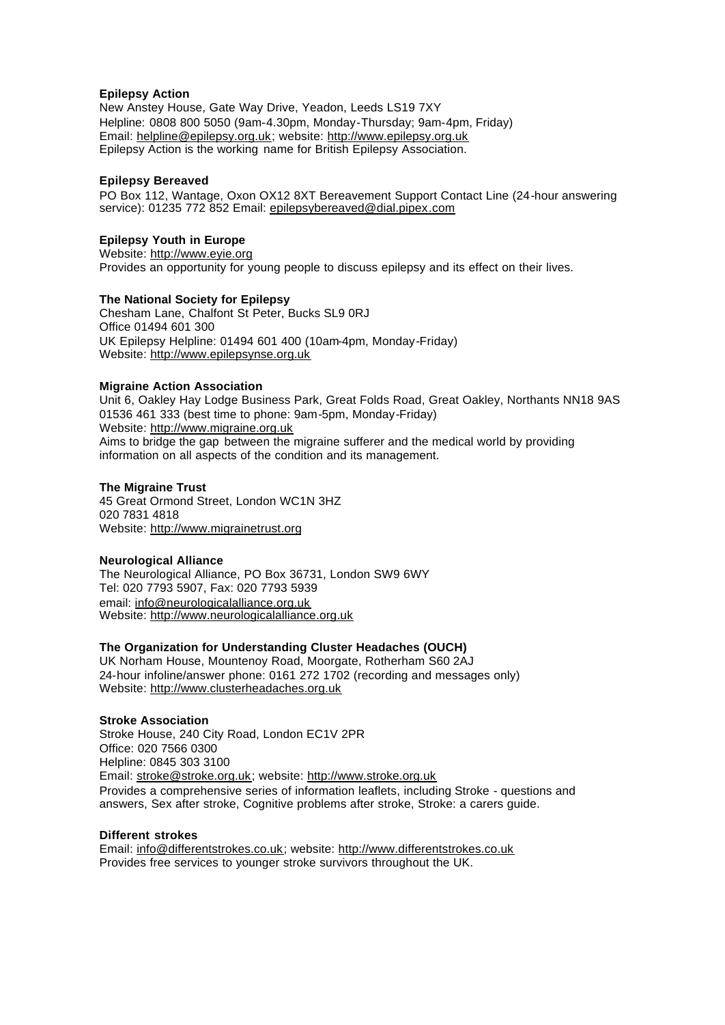## **Epilepsy Action**

New Anstey House, Gate Way Drive, Yeadon, Leeds LS19 7XY Helpline: 0808 800 5050 (9am-4.30pm, Monday-Thursday; 9am-4pm, Friday) Email: helpline@epilepsy.org.uk; website: http://www.epilepsy.org.uk Epilepsy Action is the working name for British Epilepsy Association.

#### **Epilepsy Bereaved**

PO Box 112, Wantage, Oxon OX12 8XT Bereavement Support Contact Line (24-hour answering service): 01235 772 852 Email: epilepsybereaved@dial.pipex.com

#### **Epilepsy Youth in Europe**

Website: http://www.eyie.org Provides an opportunity for young people to discuss epilepsy and its effect on their lives.

#### **The National Society for Epilepsy**

Chesham Lane, Chalfont St Peter, Bucks SL9 0RJ Office 01494 601 300 UK Epilepsy Helpline: 01494 601 400 (10am-4pm, Monday-Friday) Website: http://www.epilepsynse.org.uk

#### **Migraine Action Association**

Unit 6, Oakley Hay Lodge Business Park, Great Folds Road, Great Oakley, Northants NN18 9AS 01536 461 333 (best time to phone: 9am-5pm, Monday-Friday) Website: http://www.migraine.org.uk Aims to bridge the gap between the migraine sufferer and the medical world by providing information on all aspects of the condition and its management.

#### **The Migraine Trust**

45 Great Ormond Street, London WC1N 3HZ 020 7831 4818 Website: http://www.migrainetrust.org

## **Neurological Alliance**

The Neurological Alliance, PO Box 36731, London SW9 6WY Tel: 020 7793 5907, Fax: 020 7793 5939 email: info@neurologicalalliance.org.uk Website: http://www.neurologicalalliance.org.uk

## **The Organization for Understanding Cluster Headaches (OUCH)**

UK Norham House, Mountenoy Road, Moorgate, Rotherham S60 2AJ 24-hour infoline/answer phone: 0161 272 1702 (recording and messages only) Website: http://www.clusterheadaches.org.uk

## **Stroke Association**

Stroke House, 240 City Road, London EC1V 2PR Office: 020 7566 0300 Helpline: 0845 303 3100 Email: stroke@stroke.org.uk; website: http://www.stroke.org.uk Provides a comprehensive series of information leaflets, including Stroke - questions and answers, Sex after stroke, Cognitive problems after stroke, Stroke: a carers guide.

#### **Different strokes**

Email: info@differentstrokes.co.uk; website: http://www.differentstrokes.co.uk Provides free services to younger stroke survivors throughout the UK.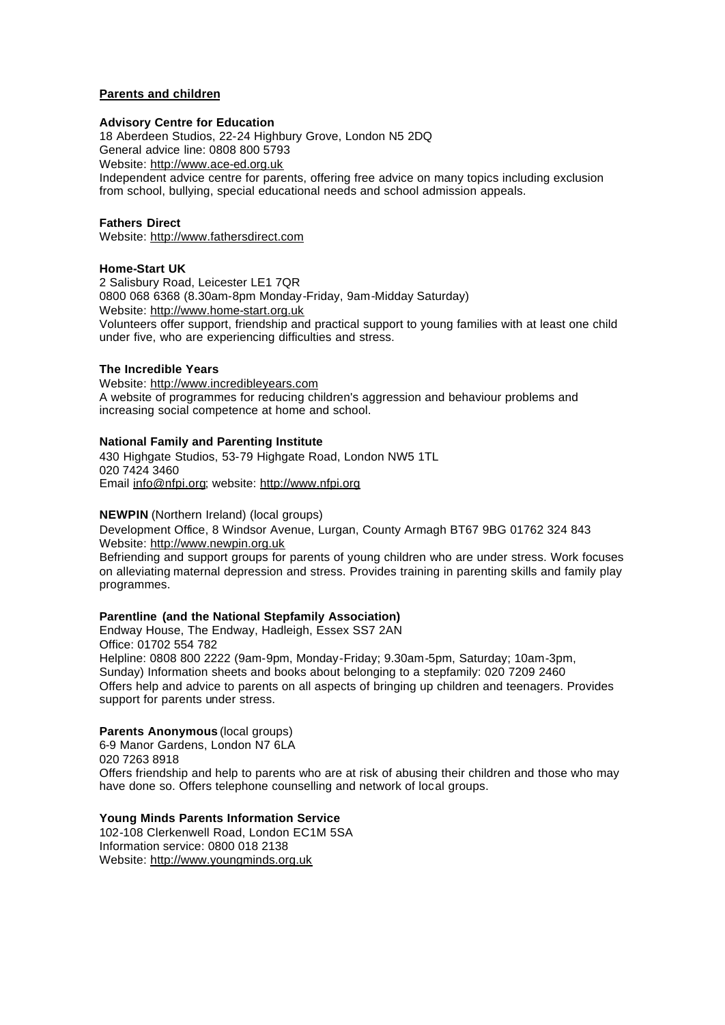## **Parents and children**

## **Advisory Centre for Education**

18 Aberdeen Studios, 22-24 Highbury Grove, London N5 2DQ General advice line: 0808 800 5793

Website: http://www.ace-ed.org.uk

Independent advice centre for parents, offering free advice on many topics including exclusion from school, bullying, special educational needs and school admission appeals.

## **Fathers Direct**

Website: http://www.fathersdirect.com

## **Home-Start UK**

2 Salisbury Road, Leicester LE1 7QR 0800 068 6368 (8.30am-8pm Monday-Friday, 9am-Midday Saturday) Website: http://www.home-start.org.uk Volunteers offer support, friendship and practical support to young families with at least one child under five, who are experiencing difficulties and stress.

## **The Incredible Years**

Website: http://www.incredibleyears.com A website of programmes for reducing children's aggression and behaviour problems and increasing social competence at home and school.

## **National Family and Parenting Institute**

430 Highgate Studios, 53-79 Highgate Road, London NW5 1TL 020 7424 3460 Email info@nfpi.org; website: http://www.nfpi.org

**NEWPIN** (Northern Ireland) (local groups)

Development Office, 8 Windsor Avenue, Lurgan, County Armagh BT67 9BG 01762 324 843 Website: http://www.newpin.org.uk

Befriending and support groups for parents of young children who are under stress. Work focuses on alleviating maternal depression and stress. Provides training in parenting skills and family play programmes.

## **Parentline (and the National Stepfamily Association)**

Endway House, The Endway, Hadleigh, Essex SS7 2AN Office: 01702 554 782 Helpline: 0808 800 2222 (9am-9pm, Monday-Friday; 9.30am-5pm, Saturday; 10am-3pm, Sunday) Information sheets and books about belonging to a stepfamily: 020 7209 2460 Offers help and advice to parents on all aspects of bringing up children and teenagers. Provides support for parents under stress.

# **Parents Anonymous** (local groups)

6-9 Manor Gardens, London N7 6LA 020 7263 8918 Offers friendship and help to parents who are at risk of abusing their children and those who may have done so. Offers telephone counselling and network of local groups.

## **Young Minds Parents Information Service**

102-108 Clerkenwell Road, London EC1M 5SA Information service: 0800 018 2138 Website: http://www.youngminds.org.uk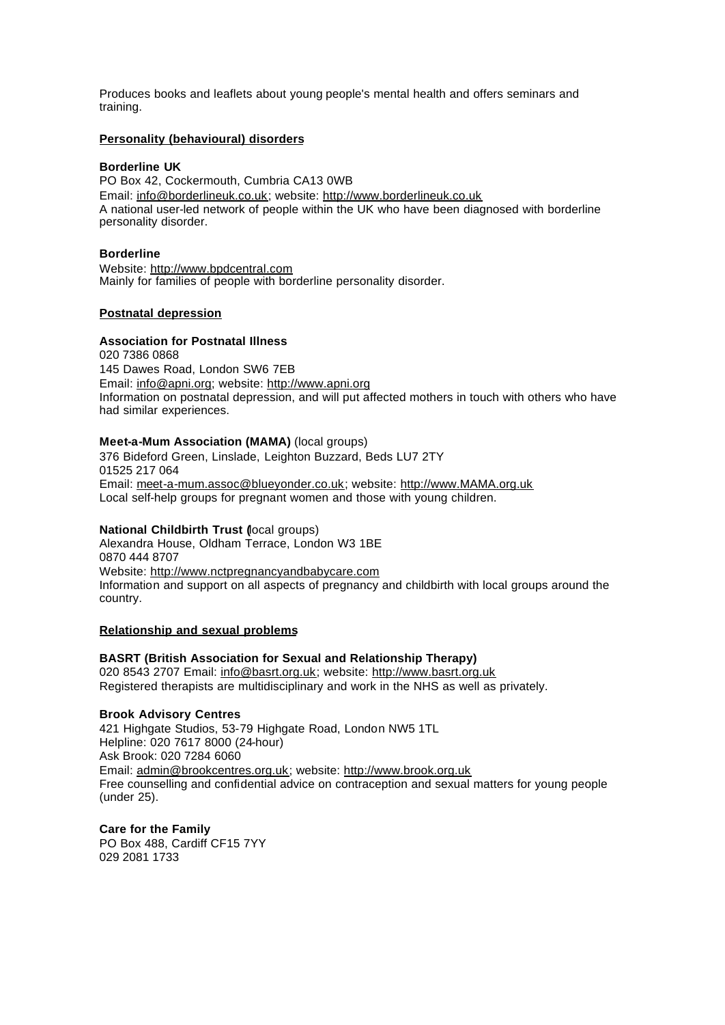Produces books and leaflets about young people's mental health and offers seminars and training.

#### **Personality (behavioural) disorders**

#### **Borderline UK**

PO Box 42, Cockermouth, Cumbria CA13 0WB Email: info@borderlineuk.co.uk; website: http://www.borderlineuk.co.uk A national user-led network of people within the UK who have been diagnosed with borderline personality disorder.

#### **Borderline**

Website: http://www.bpdcentral.com Mainly for families of people with borderline personality disorder.

## **Postnatal depression**

#### **Association for Postnatal Illness**

020 7386 0868 145 Dawes Road, London SW6 7EB Email: info@apni.org; website: http://www.apni.org Information on postnatal depression, and will put affected mothers in touch with others who have had similar experiences.

#### **Meet-a-Mum Association (MAMA)** (local groups)

376 Bideford Green, Linslade, Leighton Buzzard, Beds LU7 2TY 01525 217 064 Email: meet-a-mum.assoc@blueyonder.co.uk; website: http://www.MAMA.org.uk Local self-help groups for pregnant women and those with young children.

## **National Childbirth Trust (**local groups)

Alexandra House, Oldham Terrace, London W3 1BE 0870 444 8707 Website: http://www.nctpregnancyandbabycare.com Information and support on all aspects of pregnancy and childbirth with local groups around the country.

#### **Relationship and sexual problems**

## **BASRT (British Association for Sexual and Relationship Therapy)**

020 8543 2707 Email: info@basrt.org.uk; website: http://www.basrt.org.uk Registered therapists are multidisciplinary and work in the NHS as well as privately.

## **Brook Advisory Centres**

421 Highgate Studios, 53-79 Highgate Road, London NW5 1TL Helpline: 020 7617 8000 (24-hour) Ask Brook: 020 7284 6060 Email: admin@brookcentres.org.uk; website: http://www.brook.org.uk Free counselling and confidential advice on contraception and sexual matters for young people (under 25).

**Care for the Family** PO Box 488, Cardiff CF15 7YY 029 2081 1733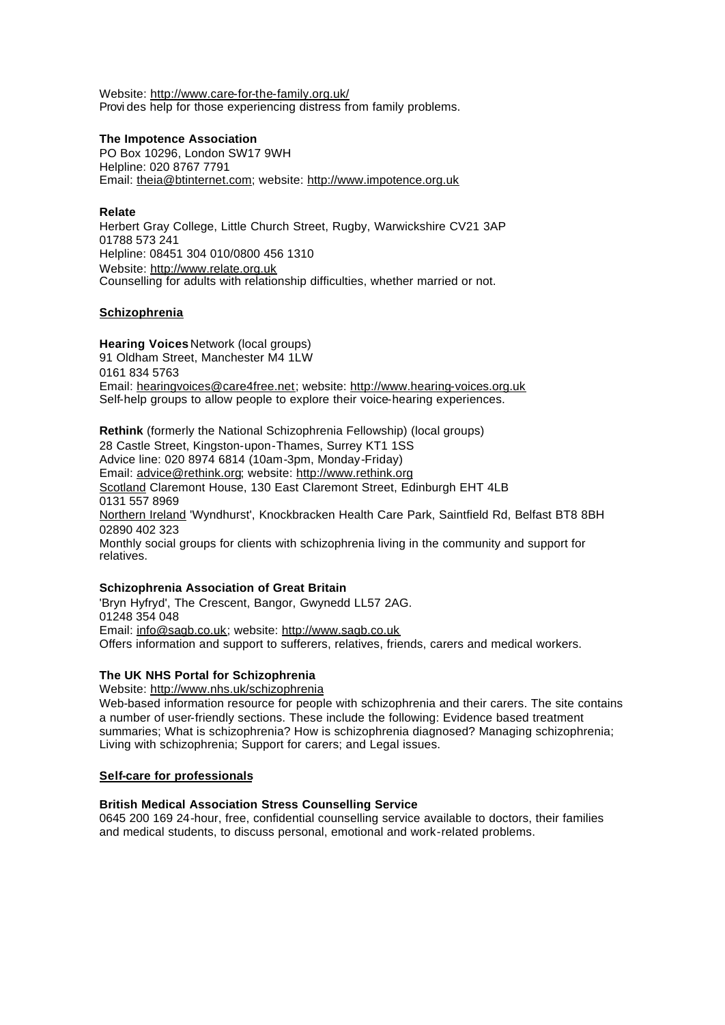Website: http://www.care-for-the-family.org.uk/ Provi des help for those experiencing distress from family problems.

#### **The Impotence Association**

PO Box 10296, London SW17 9WH Helpline: 020 8767 7791 Email: theia@btinternet.com; website: http://www.impotence.org.uk

## **Relate**

Herbert Gray College, Little Church Street, Rugby, Warwickshire CV21 3AP 01788 573 241 Helpline: 08451 304 010/0800 456 1310 Website: http://www.relate.org.uk Counselling for adults with relationship difficulties, whether married or not.

## **Schizophrenia**

**Hearing Voices** Network (local groups) 91 Oldham Street, Manchester M4 1LW 0161 834 5763 Email: hearingvoices@care4free.net; website: http://www.hearing-voices.org.uk Self-help groups to allow people to explore their voice-hearing experiences.

**Rethink** (formerly the National Schizophrenia Fellowship) (local groups) 28 Castle Street, Kingston-upon-Thames, Surrey KT1 1SS Advice line: 020 8974 6814 (10am-3pm, Monday-Friday) Email: advice@rethink.org; website: http://www.rethink.org Scotland Claremont House, 130 East Claremont Street, Edinburgh EHT 4LB 0131 557 8969 Northern Ireland 'Wyndhurst', Knockbracken Health Care Park, Saintfield Rd, Belfast BT8 8BH 02890 402 323 Monthly social groups for clients with schizophrenia living in the community and support for relatives.

## **Schizophrenia Association of Great Britain**

'Bryn Hyfryd', The Crescent, Bangor, Gwynedd LL57 2AG. 01248 354 048 Email: info@sagb.co.uk; website: http://www.sagb.co.uk Offers information and support to sufferers, relatives, friends, carers and medical workers.

## **The UK NHS Portal for Schizophrenia**

Website: http://www.nhs.uk/schizophrenia

Web-based information resource for people with schizophrenia and their carers. The site contains a number of user-friendly sections. These include the following: Evidence based treatment summaries; What is schizophrenia? How is schizophrenia diagnosed? Managing schizophrenia; Living with schizophrenia; Support for carers; and Legal issues.

## **Self-care for professionals**

## **British Medical Association Stress Counselling Service**

0645 200 169 24-hour, free, confidential counselling service available to doctors, their families and medical students, to discuss personal, emotional and work-related problems.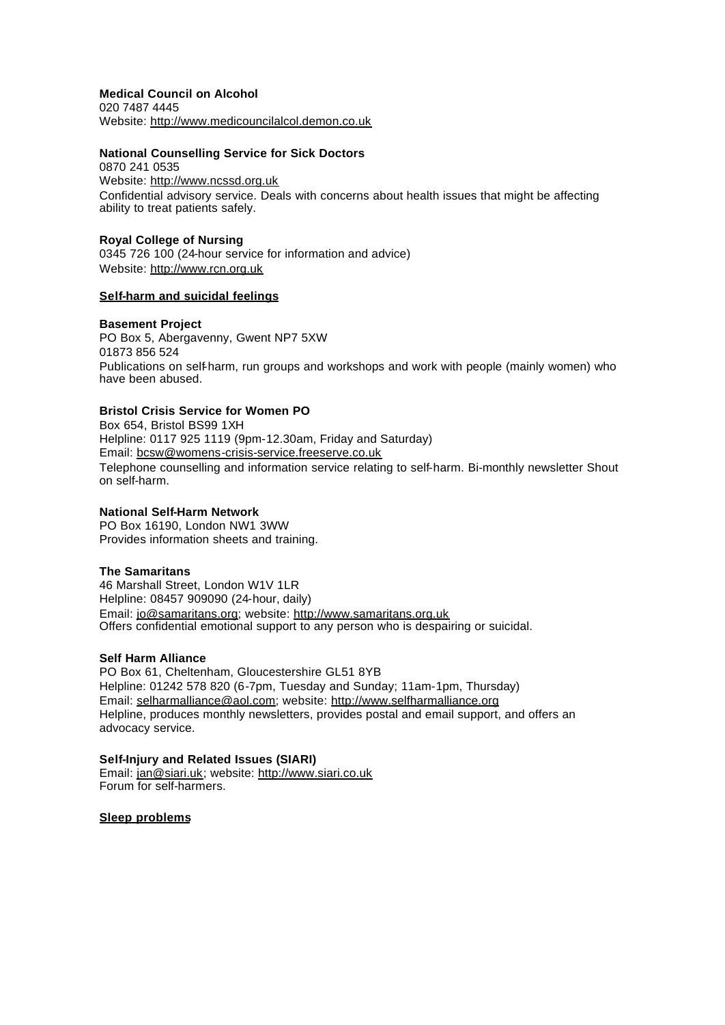**Medical Council on Alcohol** 020 7487 4445 Website: http://www.medicouncilalcol.demon.co.uk

#### **National Counselling Service for Sick Doctors**

0870 241 0535 Website: http://www.ncssd.org.uk Confidential advisory service. Deals with concerns about health issues that might be affecting ability to treat patients safely.

#### **Royal College of Nursing**

0345 726 100 (24-hour service for information and advice) Website: http://www.rcn.org.uk

#### **Self-harm and suicidal feelings**

#### **Basement Project**

PO Box 5, Abergavenny, Gwent NP7 5XW 01873 856 524 Publications on self-harm, run groups and workshops and work with people (mainly women) who have been abused.

# **Bristol Crisis Service for Women PO**

Box 654, Bristol BS99 1XH Helpline: 0117 925 1119 (9pm-12.30am, Friday and Saturday) Email: bcsw@womens-crisis-service.freeserve.co.uk Telephone counselling and information service relating to self-harm. Bi-monthly newsletter Shout on self-harm.

#### **National Self-Harm Network**

PO Box 16190, London NW1 3WW Provides information sheets and training.

#### **The Samaritans**

46 Marshall Street, London W1V 1LR Helpline: 08457 909090 (24-hour, daily) Email: jo@samaritans.org; website: http://www.samaritans.org.uk Offers confidential emotional support to any person who is despairing or suicidal.

## **Self Harm Alliance**

PO Box 61, Cheltenham, Gloucestershire GL51 8YB Helpline: 01242 578 820 (6-7pm, Tuesday and Sunday; 11am-1pm, Thursday) Email: selharmalliance@aol.com; website: http://www.selfharmalliance.org Helpline, produces monthly newsletters, provides postal and email support, and offers an advocacy service.

#### **Self-Injury and Related Issues (SIARI)**

Email: jan@siari.uk; website: http://www.siari.co.uk Forum for self-harmers.

**Sleep problems**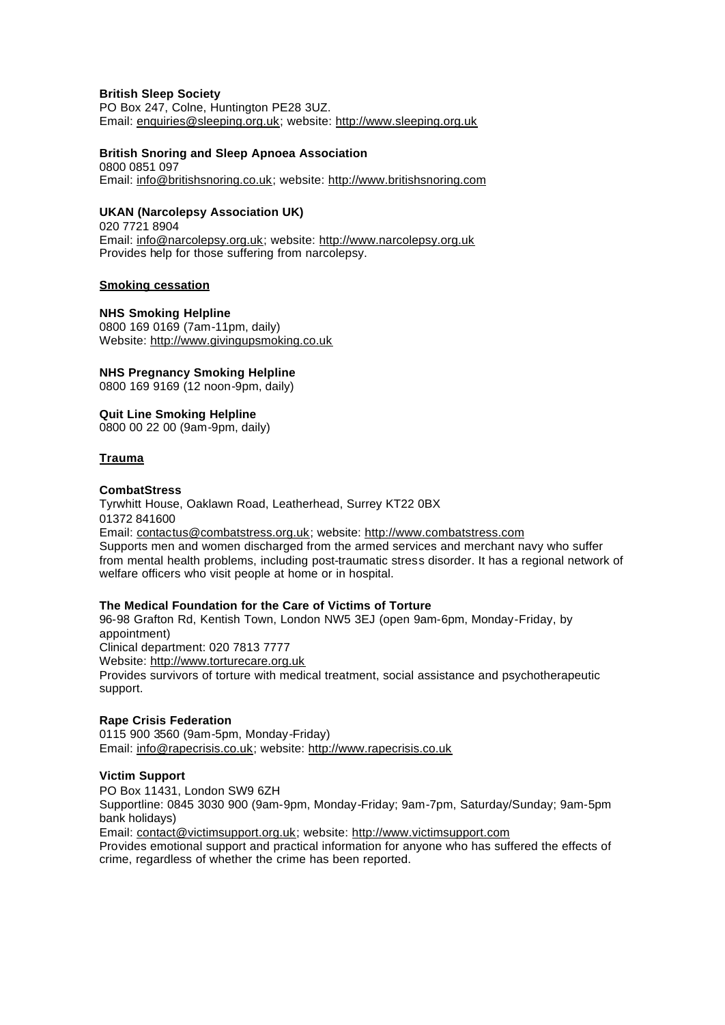## **British Sleep Society**

PO Box 247, Colne, Huntington PE28 3UZ. Email: enquiries@sleeping.org.uk; website: http://www.sleeping.org.uk

## **British Snoring and Sleep Apnoea Association**

0800 0851 097 Email: info@britishsnoring.co.uk; website: http://www.britishsnoring.com

## **UKAN (Narcolepsy Association UK)**

020 7721 8904 Email: info@narcolepsy.org.uk; website: http://www.narcolepsy.org.uk Provides help for those suffering from narcolepsy.

## **Smoking cessation**

**NHS Smoking Helpline** 0800 169 0169 (7am-11pm, daily) Website: http://www.givingupsmoking.co.uk

## **NHS Pregnancy Smoking Helpline**

0800 169 9169 (12 noon-9pm, daily)

## **Quit Line Smoking Helpline**

0800 00 22 00 (9am-9pm, daily)

## **Trauma**

## **CombatStress**

Tyrwhitt House, Oaklawn Road, Leatherhead, Surrey KT22 0BX 01372 841600 Email: contactus@combatstress.org.uk; website: http://www.combatstress.com Supports men and women discharged from the armed services and merchant navy who suffer from mental health problems, including post-traumatic stress disorder. It has a regional network of welfare officers who visit people at home or in hospital.

## **The Medical Foundation for the Care of Victims of Torture**

96-98 Grafton Rd, Kentish Town, London NW5 3EJ (open 9am-6pm, Monday-Friday, by appointment)

Clinical department: 020 7813 7777

Website: http://www.torturecare.org.uk

Provides survivors of torture with medical treatment, social assistance and psychotherapeutic support.

## **Rape Crisis Federation**

0115 900 3560 (9am-5pm, Monday-Friday) Email: info@rapecrisis.co.uk; website: http://www.rapecrisis.co.uk

## **Victim Support**

PO Box 11431, London SW9 6ZH

Supportline: 0845 3030 900 (9am-9pm, Monday-Friday; 9am-7pm, Saturday/Sunday; 9am-5pm bank holidays)

Email: contact@victimsupport.org.uk; website: http://www.victimsupport.com

Provides emotional support and practical information for anyone who has suffered the effects of crime, regardless of whether the crime has been reported.